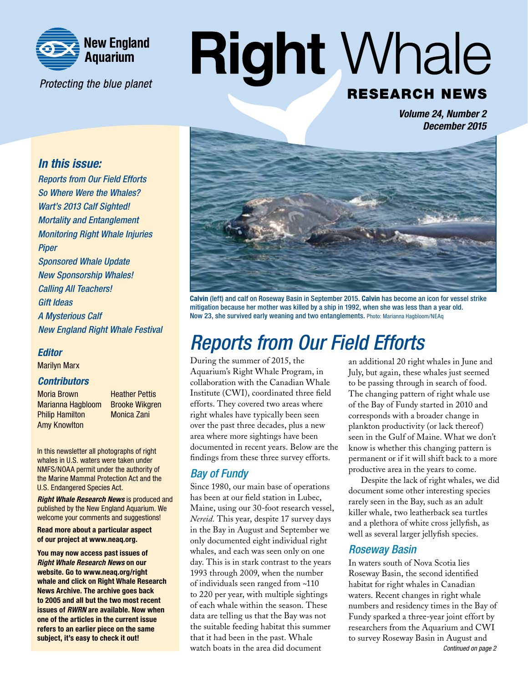

Protecting the blue planet

# **Right Whale RESEARCH NEWS**

*Volume 24, Number 2 December 2015*

#### *In this issue:*

*Reports from Our Field Efforts So Where Were the Whales? Wart's 2013 Calf Sighted! Mortality and Entanglement Monitoring Right Whale Injuries Piper Sponsored Whale Update New Sponsorship Whales! Calling All Teachers! Gift Ideas A Mysterious Calf New England Right Whale Festival*

#### *Editor*

Marilyn Marx

#### *Contributors*

**Moria Brown Heather Pettis** Marianna Hagbloom Brooke Wikgren Philip Hamilton Monica Zani Amy Knowlton

In this newsletter all photographs of right whales in U.S. waters were taken under NMFS/NOAA permit under the authority of the Marine Mammal Protection Act and the U.S. Endangered Species Act.

*Right Whale Research News* is produced and published by the New England Aquarium. We welcome your comments and suggestions!

Read more about a particular aspect of our project at www.neaq.org.

You may now access past issues of *Right Whale Research News* on our website. Go to www.neaq.org/right whale and click on Right Whale Research News Archive. The archive goes back to 2005 and all but the two most recent issues of *RWRN* are available. Now when one of the articles in the current issue refers to an earlier piece on the same subject, it's easy to check it out!



Calvin (left) and calf on Roseway Basin in September 2015. Calvin has become an icon for vessel strike mitigation because her mother was killed by a ship in 1992, when she was less than a year old. Now 23, she survived early weaning and two entanglements. Photo: Marianna Hagbloom/NEAq

### *Reports from Our Field Efforts*

During the summer of 2015, the Aquarium's Right Whale Program, in collaboration with the Canadian Whale Institute (CWI), coordinated three field efforts. They covered two areas where right whales have typically been seen over the past three decades, plus a new area where more sightings have been documented in recent years. Below are the findings from these three survey efforts.

#### *Bay of Fundy*

Since 1980, our main base of operations has been at our field station in Lubec, Maine, using our 30-foot research vessel, *Nereid.* This year, despite 17 survey days in the Bay in August and September we only documented eight individual right whales, and each was seen only on one day. This is in stark contrast to the years 1993 through 2009, when the number of individuals seen ranged from ~110 to 220 per year, with multiple sightings of each whale within the season. These data are telling us that the Bay was not the suitable feeding habitat this summer that it had been in the past. Whale watch boats in the area did document

an additional 20 right whales in June and July, but again, these whales just seemed to be passing through in search of food. The changing pattern of right whale use of the Bay of Fundy started in 2010 and corresponds with a broader change in plankton productivity (or lack thereof) seen in the Gulf of Maine. What we don't know is whether this changing pattern is permanent or if it will shift back to a more productive area in the years to come.

Despite the lack of right whales, we did document some other interesting species rarely seen in the Bay, such as an adult killer whale, two leatherback sea turtles and a plethora of white cross jellyfish, as well as several larger jellyfish species.

#### *Roseway Basin*

In waters south of Nova Scotia lies Roseway Basin, the second identified habitat for right whales in Canadian waters. Recent changes in right whale numbers and residency times in the Bay of Fundy sparked a three-year joint effort by researchers from the Aquarium and CWI to survey Roseway Basin in August and *Continued on page 2*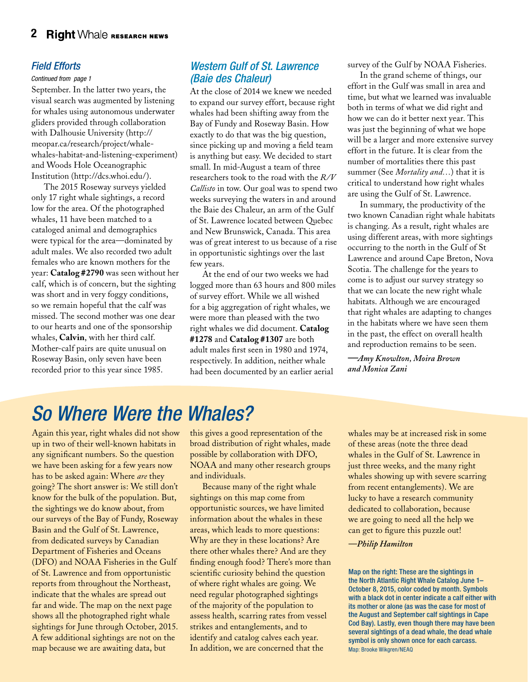#### *Field Efforts*

#### *Continued from page 1*

September. In the latter two years, the visual search was augmented by listening for whales using autonomous underwater gliders provided through collaboration with Dalhousie University (http:// meopar.ca/research/project/whalewhales-habitat-and-listening-experiment) and Woods Hole Oceanographic Institution (http://dcs.whoi.edu/).

The 2015 Roseway surveys yielded only 17 right whale sightings, a record low for the area. Of the photographed whales, 11 have been matched to a cataloged animal and demographics were typical for the area—dominated by adult males. We also recorded two adult females who are known mothers for the year: **Catalog #2790** was seen without her calf, which is of concern, but the sighting was short and in very foggy conditions, so we remain hopeful that the calf was missed. The second mother was one dear to our hearts and one of the sponsorship whales, **Calvin**, with her third calf. Mother-calf pairs are quite unusual on Roseway Basin, only seven have been recorded prior to this year since 1985.

#### *Western Gulf of St. Lawrence (Baie des Chaleur)*

At the close of 2014 we knew we needed to expand our survey effort, because right whales had been shifting away from the Bay of Fundy and Roseway Basin. How exactly to do that was the big question, since picking up and moving a field team is anything but easy. We decided to start small. In mid-August a team of three researchers took to the road with the *R/V Callisto* in tow. Our goal was to spend two weeks surveying the waters in and around the Baie des Chaleur, an arm of the Gulf of St. Lawrence located between Quebec and New Brunswick, Canada. This area was of great interest to us because of a rise in opportunistic sightings over the last few years.

At the end of our two weeks we had logged more than 63 hours and 800 miles of survey effort. While we all wished for a big aggregation of right whales, we were more than pleased with the two right whales we did document. **Catalog #1278** and **Catalog #1307** are both adult males first seen in 1980 and 1974, respectively. In addition, neither whale had been documented by an earlier aerial

survey of the Gulf by NOAA Fisheries.

In the grand scheme of things, our effort in the Gulf was small in area and time, but what we learned was invaluable both in terms of what we did right and how we can do it better next year. This was just the beginning of what we hope will be a larger and more extensive survey effort in the future. It is clear from the number of mortalities there this past summer (See *Mortality and…*) that it is critical to understand how right whales are using the Gulf of St. Lawrence.

In summary, the productivity of the two known Canadian right whale habitats is changing. As a result, right whales are using different areas, with more sightings occurring to the north in the Gulf of St Lawrence and around Cape Breton, Nova Scotia. The challenge for the years to come is to adjust our survey strategy so that we can locate the new right whale habitats. Although we are encouraged that right whales are adapting to changes in the habitats where we have seen them in the past, the effect on overall health and reproduction remains to be seen.

*—Amy Knowlton, Moira Brown and Monica Zani*

### *So Where Were the Whales?*

Again this year, right whales did not show up in two of their well-known habitats in any significant numbers. So the question we have been asking for a few years now has to be asked again: Where *are* they going? The short answer is: We still don't know for the bulk of the population. But, the sightings we do know about, from our surveys of the Bay of Fundy, Roseway Basin and the Gulf of St. Lawrence, from dedicated surveys by Canadian Department of Fisheries and Oceans (DFO) and NOAA Fisheries in the Gulf of St. Lawrence and from opportunistic reports from throughout the Northeast, indicate that the whales are spread out far and wide. The map on the next page shows all the photographed right whale sightings for June through October, 2015. A few additional sightings are not on the map because we are awaiting data, but

this gives a good representation of the broad distribution of right whales, made possible by collaboration with DFO, NOAA and many other research groups and individuals.

Because many of the right whale sightings on this map come from opportunistic sources, we have limited information about the whales in these areas, which leads to more questions: Why are they in these locations? Are there other whales there? And are they finding enough food? There's more than scientific curiosity behind the question of where right whales are going. We need regular photographed sightings of the majority of the population to assess health, scarring rates from vessel strikes and entanglements, and to identify and catalog calves each year. In addition, we are concerned that the

whales may be at increased risk in some of these areas (note the three dead whales in the Gulf of St. Lawrence in just three weeks, and the many right whales showing up with severe scarring from recent entanglements). We are lucky to have a research community dedicated to collaboration, because we are going to need all the help we can get to figure this puzzle out!

#### *—Philip Hamilton*

Map on the right: These are the sightings in the North Atlantic Right Whale Catalog June 1– October 8, 2015, color coded by month. Symbols with a black dot in center indicate a calf either with its mother or alone (as was the case for most of the August and September calf sightings in Cape Cod Bay). Lastly, even though there may have been several sightings of a dead whale, the dead whale symbol is only shown once for each carcass. Map: Brooke Wikgren/NEAQ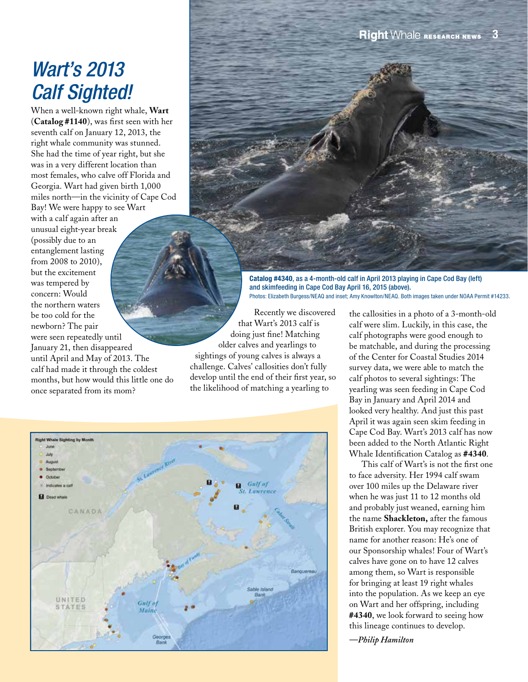### *Wart's 2013 Calf Sighted!*

When a well-known right whale, **Wart** (**Catalog #1140**), was first seen with her seventh calf on January 12, 2013, the right whale community was stunned. She had the time of year right, but she was in a very different location than most females, who calve off Florida and Georgia. Wart had given birth 1,000 miles north—in the vicinity of Cape Cod Bay! We were happy to see Wart with a calf again after an unusual eight-year break (possibly due to an entanglement lasting from 2008 to 2010), but the excitement was tempered by concern: Would the northern waters be too cold for the newborn? The pair were seen repeatedly until January 21, then disappeared until April and May of 2013. The calf had made it through the coldest months, but how would this little one do once separated from its mom?

Catalog #4340, as a 4-month-old calf in April 2013 playing in Cape Cod Bay (left) and skimfeeding in Cape Cod Bay April 16, 2015 (above). Photos: Elizabeth Burgess/NEAQ and inset; Amy Knowlton/NEAQ. Both images taken under NOAA Permit #14233.

Recently we discovered that Wart's 2013 calf is doing just fine! Matching older calves and yearlings to sightings of young calves is always a challenge. Calves' callosities don't fully develop until the end of their first year, so the likelihood of matching a yearling to



the callosities in a photo of a 3-month-old calf were slim. Luckily, in this case, the calf photographs were good enough to be matchable, and during the processing of the Center for Coastal Studies 2014 survey data, we were able to match the calf photos to several sightings: The yearling was seen feeding in Cape Cod Bay in January and April 2014 and looked very healthy. And just this past April it was again seen skim feeding in Cape Cod Bay. Wart's 2013 calf has now been added to the North Atlantic Right Whale Identification Catalog as **#4340**.

This calf of Wart's is not the first one to face adversity. Her 1994 calf swam over 100 miles up the Delaware river when he was just 11 to 12 months old and probably just weaned, earning him the name **Shackleton,** after the famous British explorer. You may recognize that name for another reason: He's one of our Sponsorship whales! Four of Wart's calves have gone on to have 12 calves among them, so Wart is responsible for bringing at least 19 right whales into the population. As we keep an eye on Wart and her offspring, including **#4340**, we look forward to seeing how this lineage continues to develop.

*—Philip Hamilton*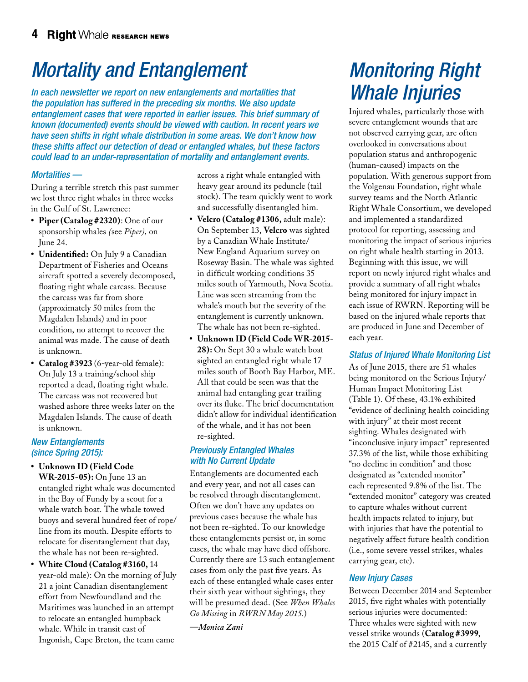## *Mortality and Entanglement*

*In each newsletter we report on new entanglements and mortalities that the population has suffered in the preceding six months. We also update entanglement cases that were reported in earlier issues. This brief summary of known (documented) events should be viewed with caution. In recent years we have seen shifts in right whale distribution in some areas. We don't know how these shifts affect our detection of dead or entangled whales, but these factors could lead to an under-representation of mortality and entanglement events.*

#### *Mortalities —*

During a terrible stretch this past summer we lost three right whales in three weeks in the Gulf of St. Lawrence:

- **• Piper (Catalog #2320)**: One of our sponsorship whales *(*see *Piper),* on June 24.
- **• Unidentified:** On July 9 a Canadian Department of Fisheries and Oceans aircraft spotted a severely decomposed, floating right whale carcass. Because the carcass was far from shore (approximately 50 miles from the Magdalen Islands) and in poor condition, no attempt to recover the animal was made. The cause of death is unknown.
- **• Catalog #3923** (6-year-old female): On July 13 a training/school ship reported a dead, floating right whale. The carcass was not recovered but washed ashore three weeks later on the Magdalen Islands. The cause of death is unknown.

#### *New Entanglements (since Spring 2015):*

- **• Unknown ID (Field Code WR-2015-05):** On June 13 an entangled right whale was documented in the Bay of Fundy by a scout for a whale watch boat. The whale towed buoys and several hundred feet of rope/ line from its mouth. Despite efforts to relocate for disentanglement that day, the whale has not been re-sighted.
- **• White Cloud (Catalog #3160,** 14 year-old male): On the morning of July 21 a joint Canadian disentanglement effort from Newfoundland and the Maritimes was launched in an attempt to relocate an entangled humpback whale. While in transit east of Ingonish, Cape Breton, the team came

across a right whale entangled with heavy gear around its peduncle (tail stock). The team quickly went to work and successfully disentangled him.

- **• Velcro (Catalog #1306,** adult male): On September 13, **Velcro** was sighted by a Canadian Whale Institute/ New England Aquarium survey on Roseway Basin. The whale was sighted in difficult working conditions 35 miles south of Yarmouth, Nova Scotia. Line was seen streaming from the whale's mouth but the severity of the entanglement is currently unknown. The whale has not been re-sighted.
- **• Unknown ID (Field Code WR-2015- 28):** On Sept 30 a whale watch boat sighted an entangled right whale 17 miles south of Booth Bay Harbor, ME. All that could be seen was that the animal had entangling gear trailing over its fluke. The brief documentation didn't allow for individual identification of the whale, and it has not been re-sighted.

#### *Previously Entangled Whales with No Current Update*

Entanglements are documented each and every year, and not all cases can be resolved through disentanglement. Often we don't have any updates on previous cases because the whale has not been re-sighted. To our knowledge these entanglements persist or, in some cases, the whale may have died offshore. Currently there are 13 such entanglement cases from only the past five years. As each of these entangled whale cases enter their sixth year without sightings, they will be presumed dead. (See *When Whales Go Missing* in *RWRN May 2015.*)

*—Monica Zani*

### *Monitoring Right Whale Injuries*

Injured whales, particularly those with severe entanglement wounds that are not observed carrying gear, are often overlooked in conversations about population status and anthropogenic (human-caused) impacts on the population. With generous support from the Volgenau Foundation, right whale survey teams and the North Atlantic Right Whale Consortium, we developed and implemented a standardized protocol for reporting, assessing and monitoring the impact of serious injuries on right whale health starting in 2013. Beginning with this issue, we will report on newly injured right whales and provide a summary of all right whales being monitored for injury impact in each issue of RWRN. Reporting will be based on the injured whale reports that are produced in June and December of each year.

#### *Status of Injured Whale Monitoring List*

As of June 2015, there are 51 whales being monitored on the Serious Injury/ Human Impact Monitoring List (Table 1). Of these, 43.1% exhibited "evidence of declining health coinciding with injury" at their most recent sighting. Whales designated with "inconclusive injury impact" represented 37.3% of the list, while those exhibiting "no decline in condition" and those designated as "extended monitor" each represented 9.8% of the list. The "extended monitor" category was created to capture whales without current health impacts related to injury, but with injuries that have the potential to negatively affect future health condition (i.e., some severe vessel strikes, whales carrying gear, etc).

#### *New Injury Cases*

Between December 2014 and September 2015, five right whales with potentially serious injuries were documented: Three whales were sighted with new vessel strike wounds (**Catalog #3999**, the 2015 Calf of #2145, and a currently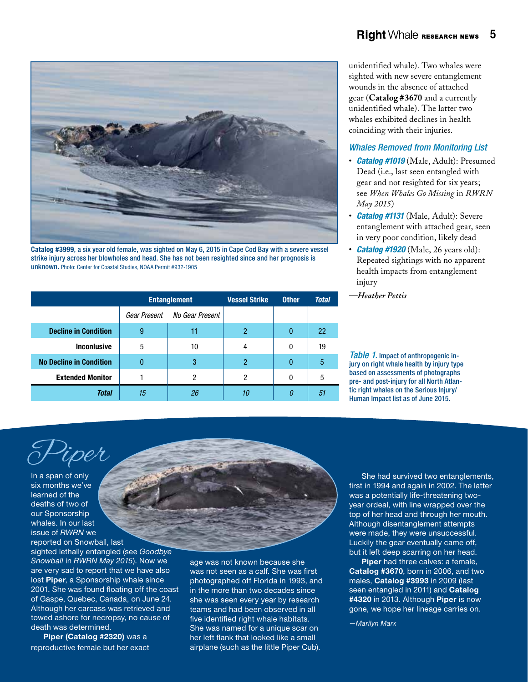

Catalog #3999, a six year old female, was sighted on May 6, 2015 in Cape Cod Bay with a severe vessel strike injury across her blowholes and head. She has not been resighted since and her prognosis is unknown. Photo: Center for Coastal Studies, NOAA Permit #932-1905

|                                | <b>Entanglement</b> |                 | <b>Vessel Strike</b> | <b>Other</b> | <b>Total</b> |
|--------------------------------|---------------------|-----------------|----------------------|--------------|--------------|
|                                | Gear Present        | No Gear Present |                      |              |              |
| <b>Decline in Condition</b>    | 9                   | 11              | 2                    |              | 22           |
| <b>Inconlusive</b>             | 5                   | 10              | 4                    | 0            | 19           |
| <b>No Decline in Condition</b> | 0                   | 3               | 2                    |              | 5            |
| <b>Extended Monitor</b>        |                     | 2               | 2                    |              | 5            |
| <b>Total</b>                   | 15                  | 26              | 10                   | 0            | 51           |

sighted with new severe entanglement wounds in the absence of attached gear (**Catalog #3670** and a currently unidentified whale). The latter two whales exhibited declines in health coinciding with their injuries.

#### *Whales Removed from Monitoring List*

- • *Catalog #1019* (Male, Adult): Presumed Dead (i.e., last seen entangled with gear and not resighted for six years; see *When Whales Go Missing* in *RWRN May 2015*)
- *Catalog #1131* (Male, Adult): Severe entanglement with attached gear, seen in very poor condition, likely dead
- *Catalog #1920* (Male, 26 years old): Repeated sightings with no apparent health impacts from entanglement injury
	- *—Heather Pettis*

*Table 1.* Impact of anthropogenic injury on right whale health by injury type based on assessments of photographs pre- and post-injury for all North Atlantic right whales on the Serious Injury/ Human Impact list as of June 2015.

In a span of only six months we've learned of the deaths of two of our Sponsorship whales. In our last issue of *RWRN* we

Piper

reported on Snowball, last sighted lethally entangled (see *Goodbye Snowball* in *RWRN May 2015*). Now we are very sad to report that we have also lost Piper, a Sponsorship whale since 2001. She was found floating off the coast of Gaspe, Quebec, Canada, on June 24. Although her carcass was retrieved and towed ashore for necropsy, no cause of death was determined.

Piper (Catalog #2320) was a reproductive female but her exact age was not known because she was not seen as a calf. She was first photographed off Florida in 1993, and in the more than two decades since she was seen every year by research teams and had been observed in all five identified right whale habitats. She was named for a unique scar on her left flank that looked like a small airplane (such as the little Piper Cub).

She had survived two entanglements, first in 1994 and again in 2002. The latter was a potentially life-threatening twoyear ordeal, with line wrapped over the top of her head and through her mouth. Although disentanglement attempts were made, they were unsuccessful. Luckily the gear eventually came off, but it left deep scarring on her head.

Piper had three calves: a female, Catalog #3670, born in 2006, and two males, Catalog #3993 in 2009 (last seen entangled in 2011) and Catalog #4320 in 2013. Although Piper is now gone, we hope her lineage carries on.

*—Marilyn Marx*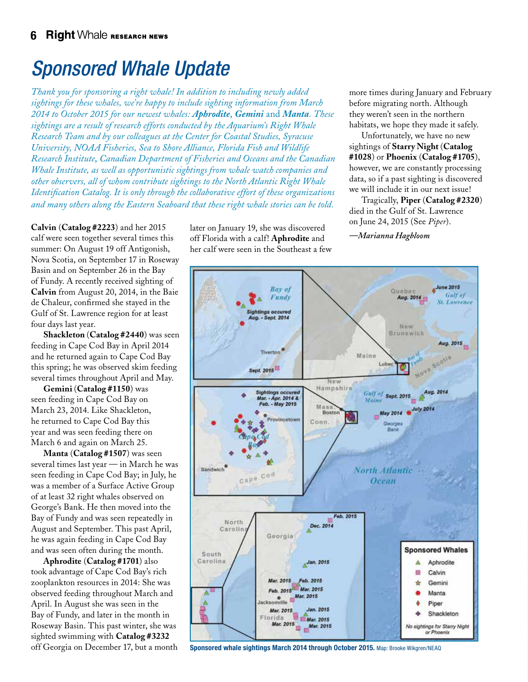### *Sponsored Whale Update*

*Thank you for sponsoring a right whale! In addition to including newly added sightings for these whales, we're happy to include sighting information from March 2014 to October 2015 for our newest whales: Aphrodite*, *Gemini* and *Manta. These sightings are a result of research efforts conducted by the Aquarium's Right Whale Research Team and by our colleagues at the Center for Coastal Studies, Syracuse University, NOAA Fisheries, Sea to Shore Alliance, Florida Fish and Wildlife Research Institute*, *Canadian Department of Fisheries and Oceans and the Canadian Whale Institute, as well as opportunistic sightings from whale watch companies and other observers, all of whom contribute sightings to the North Atlantic Right Whale Identification Catalog. It is only through the collaborative effort of these organizations and many others along the Eastern Seaboard that these right whale stories can be told.* 

**Calvin** (**Catalog #2223**) and her 2015 calf were seen together several times this summer: On August 19 off Antigonish, Nova Scotia, on September 17 in Roseway Basin and on September 26 in the Bay of Fundy. A recently received sighting of **Calvin** from August 20, 2014, in the Baie de Chaleur, confirmed she stayed in the Gulf of St. Lawrence region for at least four days last year.

**Shackleton** (**Catalog #2440**) was seen feeding in Cape Cod Bay in April 2014 and he returned again to Cape Cod Bay this spring; he was observed skim feeding several times throughout April and May.

**Gemini** (**Catalog #1150**) was seen feeding in Cape Cod Bay on March 23, 2014. Like Shackleton, he returned to Cape Cod Bay this year and was seen feeding there on March 6 and again on March 25.

**Manta** (**Catalog #1507**) was seen several times last year — in March he was seen feeding in Cape Cod Bay; in July, he was a member of a Surface Active Group of at least 32 right whales observed on George's Bank. He then moved into the Bay of Fundy and was seen repeatedly in August and September. This past April, he was again feeding in Cape Cod Bay and was seen often during the month.

**Aphrodite** (**Catalog #1701**) also took advantage of Cape Cod Bay's rich zooplankton resources in 2014: She was observed feeding throughout March and April. In August she was seen in the Bay of Fundy, and later in the month in Roseway Basin. This past winter, she was sighted swimming with **Catalog #3232**

later on January 19, she was discovered off Florida with a calf! **Aphrodite** and her calf were seen in the Southeast a few

more times during January and February before migrating north. Although they weren't seen in the northern habitats, we hope they made it safely.

Unfortunately, we have no new sightings of **Starry Night** (**Catalog #1028**) or **Phoenix** (**Catalog #1705**), however, we are constantly processing data, so if a past sighting is discovered we will include it in our next issue!

Tragically, **Piper** (**Catalog #2320**) died in the Gulf of St. Lawrence on June 24, 2015 (See *Piper*).

*—Marianna Hagbloom*



off Georgia on December 17, but a month Sponsored whale sightings March 2014 through October 2015. Map: Brooke Wikgren/NEAQ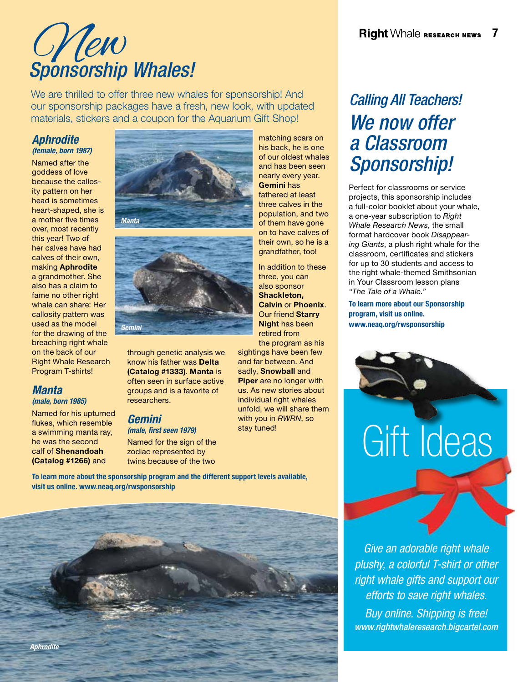# New *Sponsorship Whales!*

We are thrilled to offer three new whales for sponsorship! And our sponsorship packages have a fresh, new look, with updated materials, stickers and a coupon for the Aquarium Gift Shop!

#### *Aphrodite*

*(female, born 1987)* Named after the goddess of love because the callosity pattern on her head is sometimes heart-shaped, she is a mother five times over, most recently this year! Two of her calves have had calves of their own, making Aphrodite a grandmother. She also has a claim to fame no other right whale can share: Her callosity pattern was used as the model for the drawing of the breaching right whale on the back of our Right Whale Research Program T-shirts!

### *Manta*

*(male, born 1985)*

Named for his upturned flukes, which resemble a swimming manta ray, he was the second calf of Shenandoah (Catalog #1266) and





through genetic analysis we know his father was Delta (Catalog #1333). Manta is often seen in surface active groups and is a favorite of researchers.

#### *Gemini (male, first seen 1979)*

Named for the sign of the zodiac represented by twins because of the two

matching scars on his back, he is one of our oldest whales and has been seen nearly every year. Gemini has fathered at least three calves in the population, and two of them have gone on to have calves of their own, so he is a grandfather, too!

In addition to these three, you can also sponsor Shackleton, Calvin or Phoenix. Our friend Starry Night has been retired from

the program as his sightings have been few and far between. And sadly. Snowball and Piper are no longer with us. As new stories about individual right whales unfold, we will share them with you in *RWRN*, so stay tuned!

To learn more about the sponsorship program and the different support levels available, visit us online. www.neaq.org/rwsponsorship



### *Calling All Teachers! We now offer a Classroom Sponsorship!*

Perfect for classrooms or service projects, this sponsorship includes a full-color booklet about your whale, a one-year subscription to *Right Whale Research News*, the small format hardcover book *Disappearing Giants*, a plush right whale for the classroom, certificates and stickers for up to 30 students and access to the right whale-themed Smithsonian in Your Classroom lesson plans *"The Tale of a Whale."*

To learn more about our Sponsorship program, visit us online. www.neaq.org/rwsponsorship



*Give an adorable right whale plushy, a colorful T-shirt or other right whale gifts and support our efforts to save right whales. Buy online. Shipping is free! www.rightwhaleresearch.bigcartel.com*